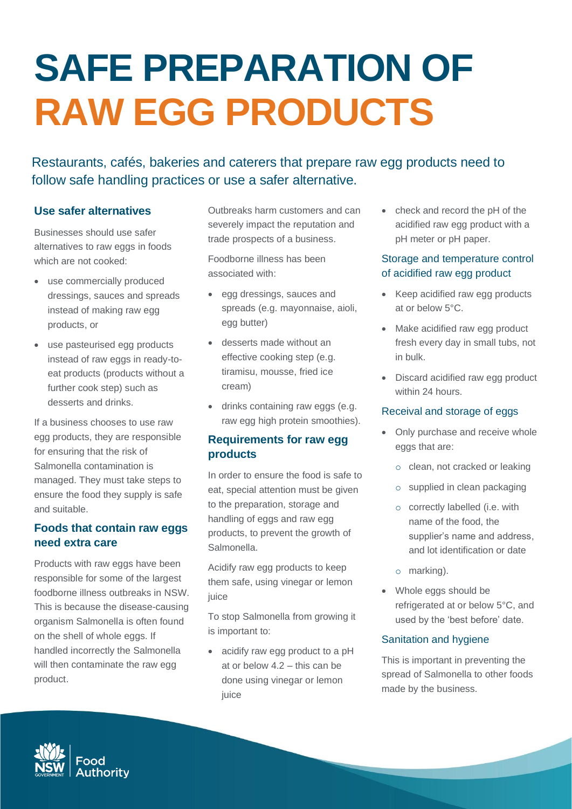# **SAFE PREPARATION OF RAW EGG PRODUCTS**

Restaurants, cafés, bakeries and caterers that prepare raw egg products need to follow safe handling practices or use a safer alternative.

# **Use safer alternatives**

Businesses should use safer alternatives to raw eggs in foods which are not cooked:

- use commercially produced dressings, sauces and spreads instead of making raw egg products, or
- use pasteurised egg products instead of raw eggs in ready-toeat products (products without a further cook step) such as desserts and drinks.

If a business chooses to use raw egg products, they are responsible for ensuring that the risk of Salmonella contamination is managed. They must take steps to ensure the food they supply is safe and suitable.

## **Foods that contain raw eggs need extra care**

Products with raw eggs have been responsible for some of the largest foodborne illness outbreaks in NSW. This is because the disease-causing organism Salmonella is often found on the shell of whole eggs. If handled incorrectly the Salmonella will then contaminate the raw egg product.

Outbreaks harm customers and can severely impact the reputation and trade prospects of a business.

Foodborne illness has been associated with:

- egg dressings, sauces and spreads (e.g. mayonnaise, aioli, egg butter)
- desserts made without an effective cooking step (e.g. tiramisu, mousse, fried ice cream)
- drinks containing raw eggs (e.g. raw egg high protein smoothies).

# **Requirements for raw egg products**

In order to ensure the food is safe to eat, special attention must be given to the preparation, storage and handling of eggs and raw egg products, to prevent the growth of Salmonella.

Acidify raw egg products to keep them safe, using vinegar or lemon iuice

To stop Salmonella from growing it is important to:

• acidify raw egg product to a pH at or below 4.2 – this can be done using vinegar or lemon juice

• check and record the pH of the acidified raw egg product with a pH meter or pH paper.

## Storage and temperature control of acidified raw egg product

- Keep acidified raw egg products at or below 5°C.
- Make acidified raw egg product fresh every day in small tubs, not in bulk.
- Discard acidified raw egg product within 24 hours.

#### Receival and storage of eggs

- Only purchase and receive whole eggs that are:
	- o clean, not cracked or leaking
	- o supplied in clean packaging
	- o correctly labelled (i.e. with name of the food, the supplier's name and address, and lot identification or date
	- o marking).
- Whole eggs should be refrigerated at or below 5°C, and used by the 'best before' date.

#### Sanitation and hygiene

This is important in preventing the spread of Salmonella to other foods made by the business.